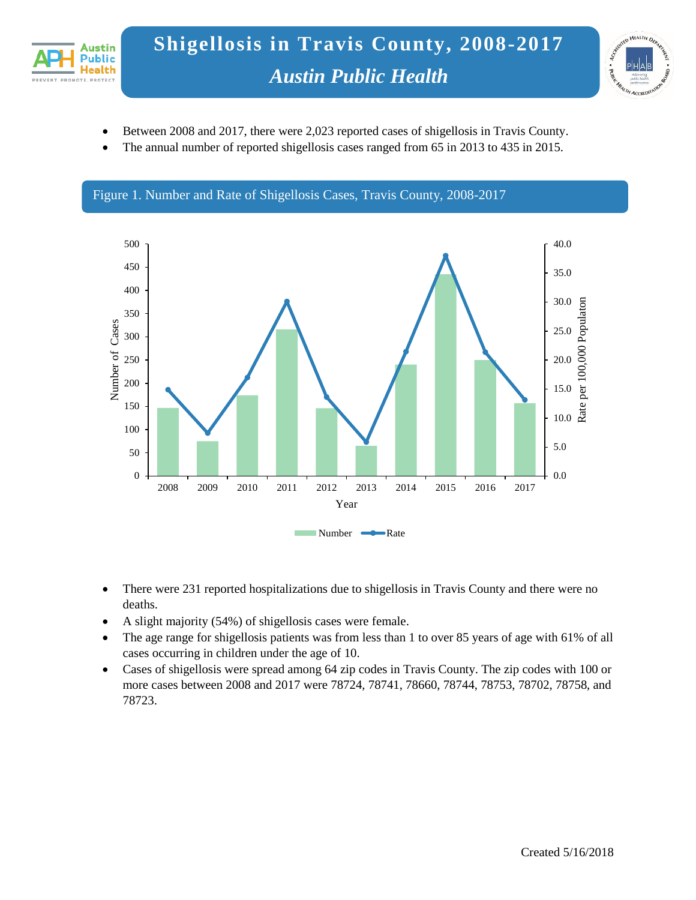



- Between 2008 and 2017, there were 2,023 reported cases of shigellosis in Travis County.
- The annual number of reported shigellosis cases ranged from 65 in 2013 to 435 in 2015.



- There were 231 reported hospitalizations due to shigellosis in Travis County and there were no deaths.
- A slight majority (54%) of shigellosis cases were female.
- The age range for shigellosis patients was from less than 1 to over 85 years of age with 61% of all cases occurring in children under the age of 10.
- Cases of shigellosis were spread among 64 zip codes in Travis County. The zip codes with 100 or more cases between 2008 and 2017 were 78724, 78741, 78660, 78744, 78753, 78702, 78758, and 78723.